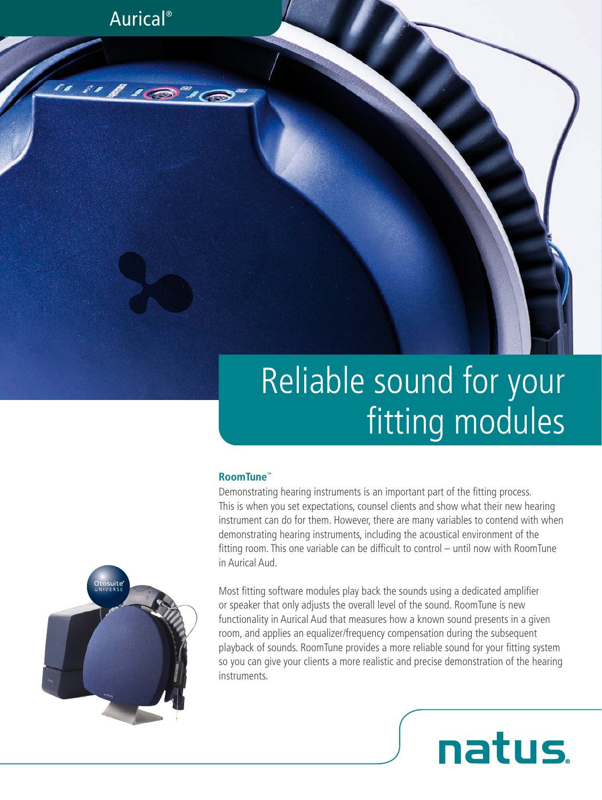Aurical®

"I'D"G

# Reliable sound for your fitting modules

#### **RoomTune™**

Demonstrating hearing instruments is an important part of the fitting process. This is when you set expectations, counsel clients and show what their new hearing instrument can do for them. However, there are many variables to contend with when demonstrating hearing instruments, including the acoustical environment of the fitting room. This one variable can be difficult to control – until now with RoomTune in Aurical Aud.

Most fitting software modules play back the sounds using a dedicated amplifier or speaker that only adjusts the overall level of the sound. RoomTune is new functionality in Aurical Aud that measures how a known sound presents in a given room, and applies an equalizer/frequency compensation during the subsequent playback of sounds. RoomTune provides a more reliable sound for your fitting system so you can give your clients a more realistic and precise demonstration of the hearing instruments.

**natus**